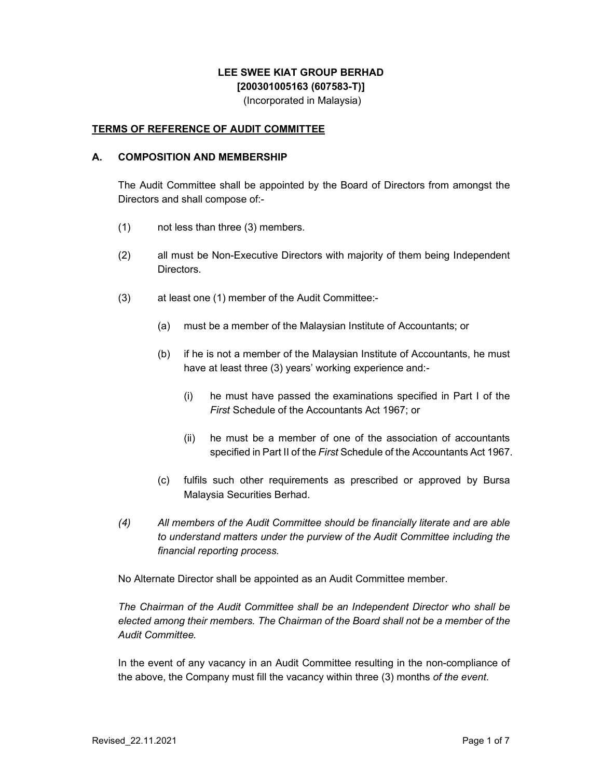# **LEE SWEE KIAT GROUP BERHAD [200301005163 (607583-T)]**

(Incorporated in Malaysia)

## **TERMS OF REFERENCE OF AUDIT COMMITTEE**

#### **A. COMPOSITION AND MEMBERSHIP**

The Audit Committee shall be appointed by the Board of Directors from amongst the Directors and shall compose of:-

- (1) not less than three (3) members.
- (2) all must be Non-Executive Directors with majority of them being Independent Directors.
- (3) at least one (1) member of the Audit Committee:-
	- (a) must be a member of the Malaysian Institute of Accountants; or
	- (b) if he is not a member of the Malaysian Institute of Accountants, he must have at least three (3) years' working experience and:-
		- (i) he must have passed the examinations specified in Part I of the *First* Schedule of the Accountants Act 1967; or
		- (ii) he must be a member of one of the association of accountants specified in Part II of the *First* Schedule of the Accountants Act 1967.
	- (c) fulfils such other requirements as prescribed or approved by Bursa Malaysia Securities Berhad.
- *(4) All members of the Audit Committee should be financially literate and are able to understand matters under the purview of the Audit Committee including the financial reporting process.*

No Alternate Director shall be appointed as an Audit Committee member.

*The Chairman of the Audit Committee shall be an Independent Director who shall be elected among their members. The Chairman of the Board shall not be a member of the Audit Committee.* 

In the event of any vacancy in an Audit Committee resulting in the non-compliance of the above, the Company must fill the vacancy within three (3) months *of the event*.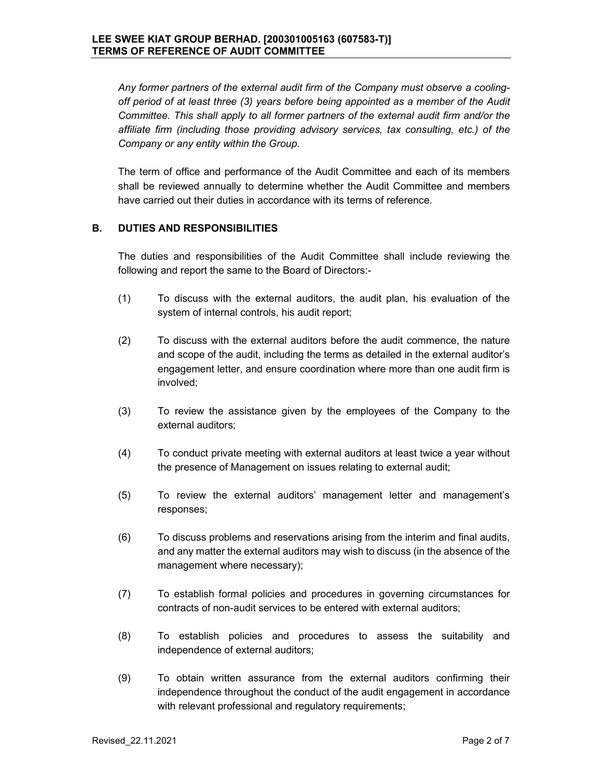*Any former partners of the external audit firm of the Company must observe a coolingoff period of at least three (3) years before being appointed as a member of the Audit Committee. This shall apply to all former partners of the external audit firm and/or the affiliate firm (including those providing advisory services, tax consulting, etc.) of the Company or any entity within the Group.* 

The term of office and performance of the Audit Committee and each of its members shall be reviewed annually to determine whether the Audit Committee and members have carried out their duties in accordance with its terms of reference.

### **B. DUTIES AND RESPONSIBILITIES**

The duties and responsibilities of the Audit Committee shall include reviewing the following and report the same to the Board of Directors:-

- (1) To discuss with the external auditors, the audit plan, his evaluation of the system of internal controls, his audit report;
- (2) To discuss with the external auditors before the audit commence, the nature and scope of the audit, including the terms as detailed in the external auditor's engagement letter, and ensure coordination where more than one audit firm is involved;
- (3) To review the assistance given by the employees of the Company to the external auditors;
- (4) To conduct private meeting with external auditors at least twice a year without the presence of Management on issues relating to external audit;
- (5) To review the external auditors' management letter and management's responses;
- (6) To discuss problems and reservations arising from the interim and final audits, and any matter the external auditors may wish to discuss (in the absence of the management where necessary);
- (7) To establish formal policies and procedures in governing circumstances for contracts of non-audit services to be entered with external auditors;
- (8) To establish policies and procedures to assess the suitability and independence of external auditors;
- (9) To obtain written assurance from the external auditors confirming their independence throughout the conduct of the audit engagement in accordance with relevant professional and regulatory requirements;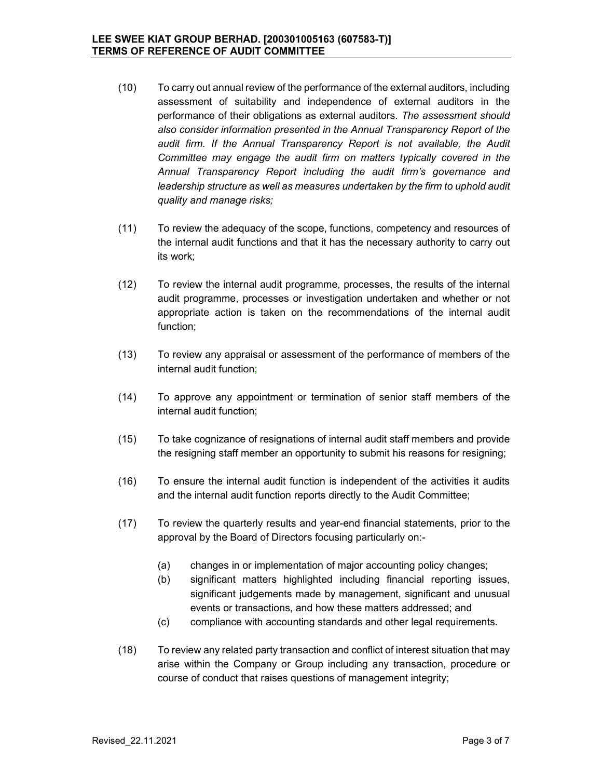- (10) To carry out annual review of the performance of the external auditors, including assessment of suitability and independence of external auditors in the performance of their obligations as external auditors*. The assessment should also consider information presented in the Annual Transparency Report of the*  audit firm. If the Annual Transparency Report is not available, the Audit *Committee may engage the audit firm on matters typically covered in the Annual Transparency Report including the audit firm's governance and leadership structure as well as measures undertaken by the firm to uphold audit quality and manage risks;*
- (11) To review the adequacy of the scope, functions, competency and resources of the internal audit functions and that it has the necessary authority to carry out its work;
- (12) To review the internal audit programme, processes, the results of the internal audit programme, processes or investigation undertaken and whether or not appropriate action is taken on the recommendations of the internal audit function;
- (13) To review any appraisal or assessment of the performance of members of the internal audit function;
- (14) To approve any appointment or termination of senior staff members of the internal audit function;
- (15) To take cognizance of resignations of internal audit staff members and provide the resigning staff member an opportunity to submit his reasons for resigning;
- (16) To ensure the internal audit function is independent of the activities it audits and the internal audit function reports directly to the Audit Committee;
- (17) To review the quarterly results and year-end financial statements, prior to the approval by the Board of Directors focusing particularly on:-
	- (a) changes in or implementation of major accounting policy changes;
	- (b) significant matters highlighted including financial reporting issues, significant judgements made by management, significant and unusual events or transactions, and how these matters addressed; and
	- (c) compliance with accounting standards and other legal requirements.
- (18) To review any related party transaction and conflict of interest situation that may arise within the Company or Group including any transaction, procedure or course of conduct that raises questions of management integrity;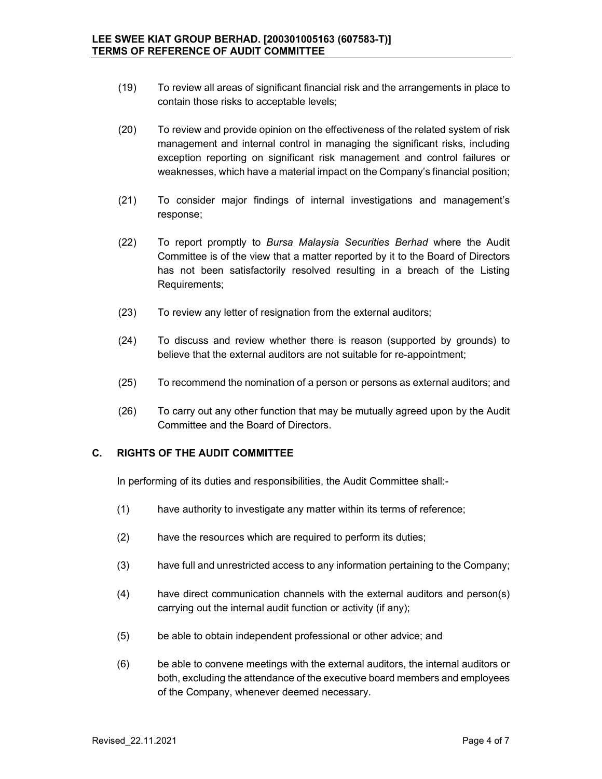- (19) To review all areas of significant financial risk and the arrangements in place to contain those risks to acceptable levels;
- (20) To review and provide opinion on the effectiveness of the related system of risk management and internal control in managing the significant risks, including exception reporting on significant risk management and control failures or weaknesses, which have a material impact on the Company's financial position;
- (21) To consider major findings of internal investigations and management's response;
- (22) To report promptly to *Bursa Malaysia Securities Berhad* where the Audit Committee is of the view that a matter reported by it to the Board of Directors has not been satisfactorily resolved resulting in a breach of the Listing Requirements;
- (23) To review any letter of resignation from the external auditors;
- (24) To discuss and review whether there is reason (supported by grounds) to believe that the external auditors are not suitable for re-appointment;
- (25) To recommend the nomination of a person or persons as external auditors; and
- (26) To carry out any other function that may be mutually agreed upon by the Audit Committee and the Board of Directors.

### **C. RIGHTS OF THE AUDIT COMMITTEE**

In performing of its duties and responsibilities, the Audit Committee shall:-

- (1) have authority to investigate any matter within its terms of reference;
- (2) have the resources which are required to perform its duties;
- (3) have full and unrestricted access to any information pertaining to the Company;
- (4) have direct communication channels with the external auditors and person(s) carrying out the internal audit function or activity (if any);
- (5) be able to obtain independent professional or other advice; and
- (6) be able to convene meetings with the external auditors, the internal auditors or both, excluding the attendance of the executive board members and employees of the Company, whenever deemed necessary.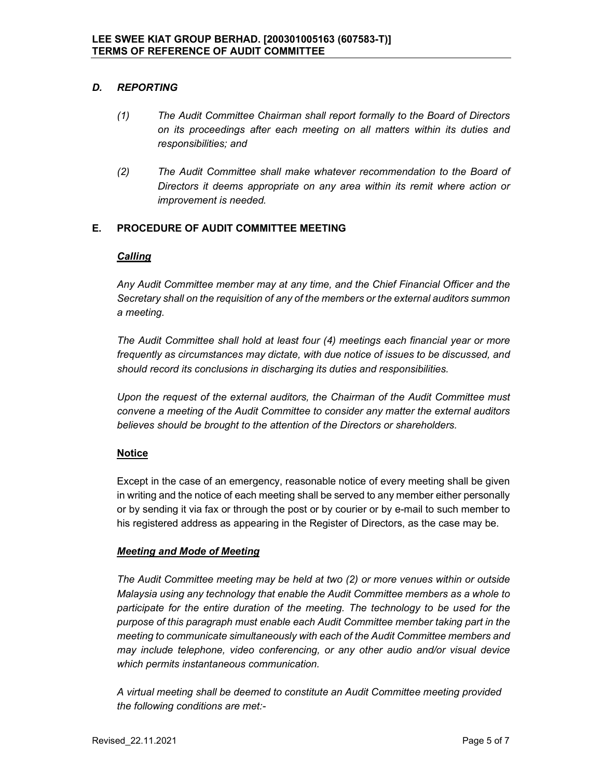## *D. REPORTING*

- *(1) The Audit Committee Chairman shall report formally to the Board of Directors on its proceedings after each meeting on all matters within its duties and responsibilities; and*
- *(2) The Audit Committee shall make whatever recommendation to the Board of Directors it deems appropriate on any area within its remit where action or improvement is needed.*

# **E. PROCEDURE OF AUDIT COMMITTEE MEETING**

### *Calling*

*Any Audit Committee member may at any time, and the Chief Financial Officer and the Secretary shall on the requisition of any of the members or the external auditors summon a meeting.* 

*The Audit Committee shall hold at least four (4) meetings each financial year or more frequently as circumstances may dictate, with due notice of issues to be discussed, and should record its conclusions in discharging its duties and responsibilities.* 

*Upon the request of the external auditors, the Chairman of the Audit Committee must convene a meeting of the Audit Committee to consider any matter the external auditors believes should be brought to the attention of the Directors or shareholders.* 

# **Notice**

Except in the case of an emergency, reasonable notice of every meeting shall be given in writing and the notice of each meeting shall be served to any member either personally or by sending it via fax or through the post or by courier or by e-mail to such member to his registered address as appearing in the Register of Directors, as the case may be.

### *Meeting and Mode of Meeting*

*The Audit Committee meeting may be held at two (2) or more venues within or outside Malaysia using any technology that enable the Audit Committee members as a whole to participate for the entire duration of the meeting. The technology to be used for the purpose of this paragraph must enable each Audit Committee member taking part in the meeting to communicate simultaneously with each of the Audit Committee members and may include telephone, video conferencing, or any other audio and/or visual device which permits instantaneous communication.* 

 *A virtual meeting shall be deemed to constitute an Audit Committee meeting provided the following conditions are met:-*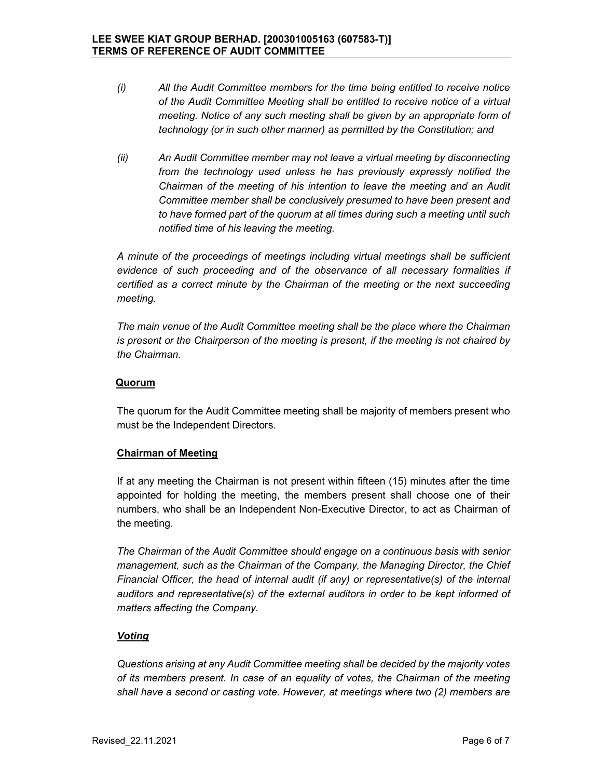- *(i) All the Audit Committee members for the time being entitled to receive notice of the Audit Committee Meeting shall be entitled to receive notice of a virtual meeting. Notice of any such meeting shall be given by an appropriate form of technology (or in such other manner) as permitted by the Constitution; and*
- *(ii) An Audit Committee member may not leave a virtual meeting by disconnecting from the technology used unless he has previously expressly notified the Chairman of the meeting of his intention to leave the meeting and an Audit Committee member shall be conclusively presumed to have been present and to have formed part of the quorum at all times during such a meeting until such notified time of his leaving the meeting.*

*A minute of the proceedings of meetings including virtual meetings shall be sufficient evidence of such proceeding and of the observance of all necessary formalities if certified as a correct minute by the Chairman of the meeting or the next succeeding meeting.* 

*The main venue of the Audit Committee meeting shall be the place where the Chairman is present or the Chairperson of the meeting is present, if the meeting is not chaired by the Chairman.* 

### **Quorum**

The quorum for the Audit Committee meeting shall be majority of members present who must be the Independent Directors.

### **Chairman of Meeting**

If at any meeting the Chairman is not present within fifteen (15) minutes after the time appointed for holding the meeting, the members present shall choose one of their numbers, who shall be an Independent Non-Executive Director, to act as Chairman of the meeting.

*The Chairman of the Audit Committee should engage on a continuous basis with senior management, such as the Chairman of the Company, the Managing Director, the Chief Financial Officer, the head of internal audit (if any) or representative(s) of the internal auditors and representative(s) of the external auditors in order to be kept informed of matters affecting the Company.* 

# *Voting*

*Questions arising at any Audit Committee meeting shall be decided by the majority votes of its members present. In case of an equality of votes, the Chairman of the meeting shall have a second or casting vote. However, at meetings where two (2) members are*